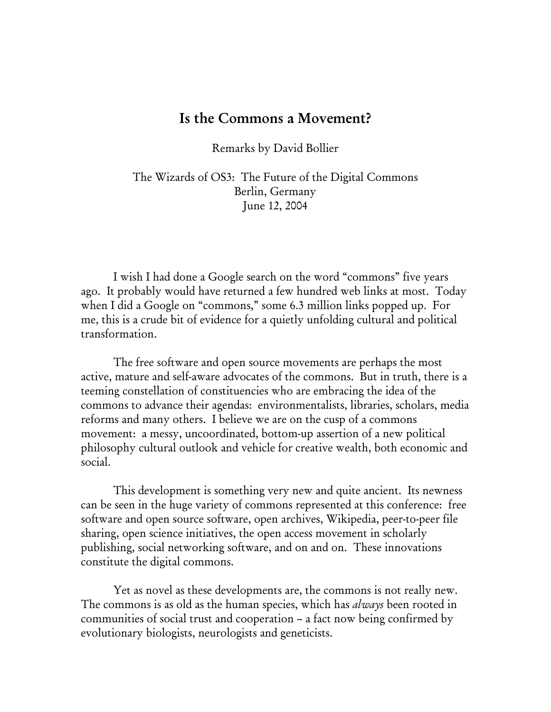## Is the Commons a Movement?

Remarks by David Bollier

The Wizards of OS3: The Future of the Digital Commons Berlin, Germany June 12, 2004

 I wish I had done a Google search on the word "commons" five years ago. It probably would have returned a few hundred web links at most. Today when I did a Google on "commons," some 6.3 million links popped up. For me, this is a crude bit of evidence for a quietly unfolding cultural and political transformation.

 The free software and open source movements are perhaps the most active, mature and self-aware advocates of the commons. But in truth, there is a teeming constellation of constituencies who are embracing the idea of the commons to advance their agendas: environmentalists, libraries, scholars, media reforms and many others. I believe we are on the cusp of a commons movement: a messy, uncoordinated, bottom-up assertion of a new political philosophy cultural outlook and vehicle for creative wealth, both economic and social.

 This development is something very new and quite ancient. Its newness can be seen in the huge variety of commons represented at this conference: free software and open source software, open archives, Wikipedia, peer-to-peer file sharing, open science initiatives, the open access movement in scholarly publishing, social networking software, and on and on. These innovations constitute the digital commons.

 Yet as novel as these developments are, the commons is not really new. The commons is as old as the human species, which has *always* been rooted in communities of social trust and cooperation – a fact now being confirmed by evolutionary biologists, neurologists and geneticists.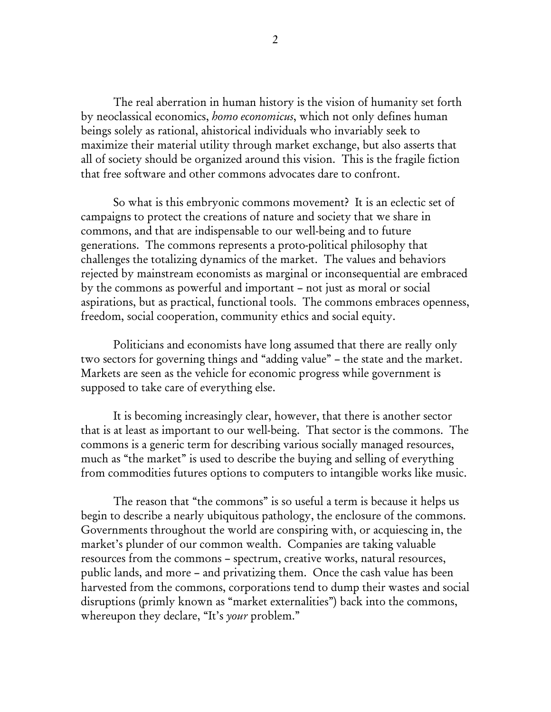The real aberration in human history is the vision of humanity set forth by neoclassical economics, *homo economicus*, which not only defines human beings solely as rational, ahistorical individuals who invariably seek to maximize their material utility through market exchange, but also asserts that all of society should be organized around this vision. This is the fragile fiction that free software and other commons advocates dare to confront.

 So what is this embryonic commons movement? It is an eclectic set of campaigns to protect the creations of nature and society that we share in commons, and that are indispensable to our well-being and to future generations. The commons represents a proto-political philosophy that challenges the totalizing dynamics of the market. The values and behaviors rejected by mainstream economists as marginal or inconsequential are embraced by the commons as powerful and important – not just as moral or social aspirations, but as practical, functional tools. The commons embraces openness, freedom, social cooperation, community ethics and social equity.

 Politicians and economists have long assumed that there are really only two sectors for governing things and "adding value" – the state and the market. Markets are seen as the vehicle for economic progress while government is supposed to take care of everything else.

 It is becoming increasingly clear, however, that there is another sector that is at least as important to our well-being. That sector is the commons. The commons is a generic term for describing various socially managed resources, much as "the market" is used to describe the buying and selling of everything from commodities futures options to computers to intangible works like music.

 The reason that "the commons" is so useful a term is because it helps us begin to describe a nearly ubiquitous pathology, the enclosure of the commons. Governments throughout the world are conspiring with, or acquiescing in, the market's plunder of our common wealth. Companies are taking valuable resources from the commons – spectrum, creative works, natural resources, public lands, and more – and privatizing them. Once the cash value has been harvested from the commons, corporations tend to dump their wastes and social disruptions (primly known as "market externalities") back into the commons, whereupon they declare, "It's *your* problem."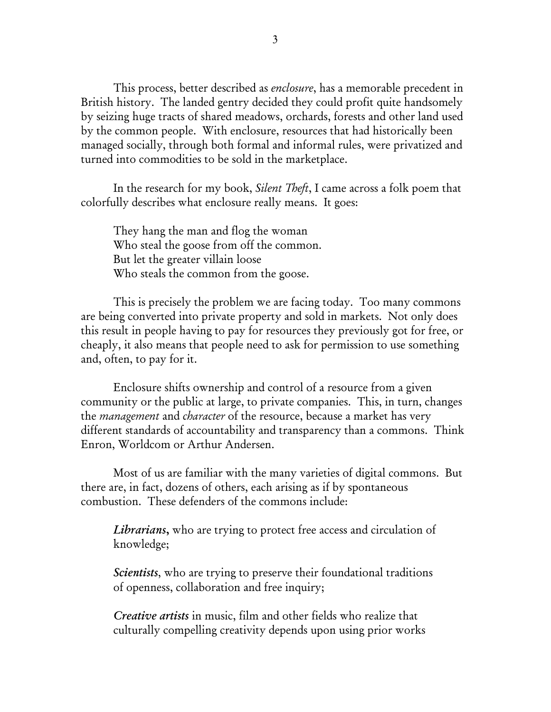This process, better described as *enclosure*, has a memorable precedent in British history. The landed gentry decided they could profit quite handsomely by seizing huge tracts of shared meadows, orchards, forests and other land used by the common people. With enclosure, resources that had historically been managed socially, through both formal and informal rules, were privatized and turned into commodities to be sold in the marketplace.

 In the research for my book, *Silent Theft*, I came across a folk poem that colorfully describes what enclosure really means. It goes:

 They hang the man and flog the woman Who steal the goose from off the common. But let the greater villain loose Who steals the common from the goose.

 This is precisely the problem we are facing today. Too many commons are being converted into private property and sold in markets. Not only does this result in people having to pay for resources they previously got for free, or cheaply, it also means that people need to ask for permission to use something and, often, to pay for it.

 Enclosure shifts ownership and control of a resource from a given community or the public at large, to private companies. This, in turn, changes the *management* and *character* of the resource, because a market has very different standards of accountability and transparency than a commons. Think Enron, Worldcom or Arthur Andersen.

 Most of us are familiar with the many varieties of digital commons. But there are, in fact, dozens of others, each arising as if by spontaneous combustion. These defenders of the commons include:

*Librarians*, who are trying to protect free access and circulation of knowledge;

*Scientists*, who are trying to preserve their foundational traditions of openness, collaboration and free inquiry;

*Creative artists* in music, film and other fields who realize that culturally compelling creativity depends upon using prior works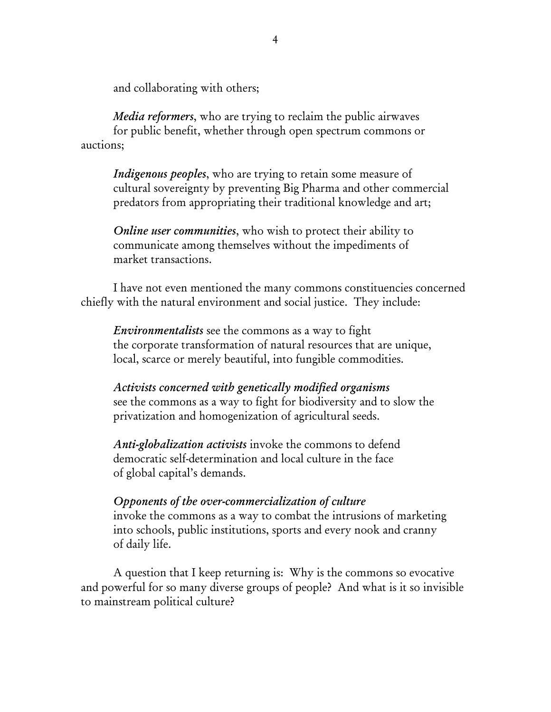and collaborating with others;

*Media reformers*, who are trying to reclaim the public airwaves for public benefit, whether through open spectrum commons or auctions;

*Indigenous peoples*, who are trying to retain some measure of cultural sovereignty by preventing Big Pharma and other commercial predators from appropriating their traditional knowledge and art;

*Online user communities*, who wish to protect their ability to communicate among themselves without the impediments of market transactions.

I have not even mentioned the many commons constituencies concerned chiefly with the natural environment and social justice. They include:

*Environmentalists* see the commons as a way to fight the corporate transformation of natural resources that are unique, local, scarce or merely beautiful, into fungible commodities.

*Activists concerned with genetically modified organisms* see the commons as a way to fight for biodiversity and to slow the privatization and homogenization of agricultural seeds.

*Anti-globalization activists* invoke the commons to defend democratic self-determination and local culture in the face of global capital's demands.

*Opponents of the over-commercialization of culture* invoke the commons as a way to combat the intrusions of marketing into schools, public institutions, sports and every nook and cranny of daily life.

 A question that I keep returning is: Why is the commons so evocative and powerful for so many diverse groups of people? And what is it so invisible to mainstream political culture?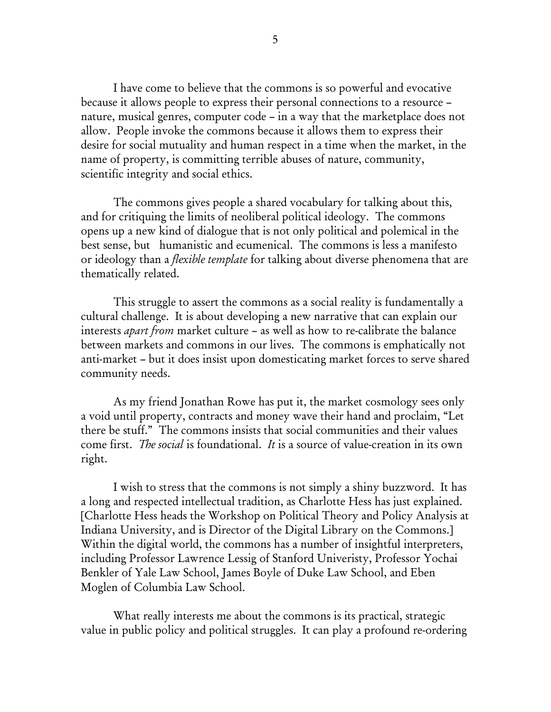I have come to believe that the commons is so powerful and evocative because it allows people to express their personal connections to a resource – nature, musical genres, computer code – in a way that the marketplace does not allow. People invoke the commons because it allows them to express their desire for social mutuality and human respect in a time when the market, in the name of property, is committing terrible abuses of nature, community, scientific integrity and social ethics.

The commons gives people a shared vocabulary for talking about this, and for critiquing the limits of neoliberal political ideology. The commons opens up a new kind of dialogue that is not only political and polemical in the best sense, but humanistic and ecumenical. The commons is less a manifesto or ideology than a *flexible template* for talking about diverse phenomena that are thematically related.

 This struggle to assert the commons as a social reality is fundamentally a cultural challenge. It is about developing a new narrative that can explain our interests *apart from* market culture – as well as how to re-calibrate the balance between markets and commons in our lives. The commons is emphatically not anti-market – but it does insist upon domesticating market forces to serve shared community needs.

 As my friend Jonathan Rowe has put it, the market cosmology sees only a void until property, contracts and money wave their hand and proclaim, "Let there be stuff." The commons insists that social communities and their values come first. *The social* is foundational. *It* is a source of value-creation in its own right.

 I wish to stress that the commons is not simply a shiny buzzword. It has a long and respected intellectual tradition, as Charlotte Hess has just explained. [Charlotte Hess heads the Workshop on Political Theory and Policy Analysis at Indiana University, and is Director of the Digital Library on the Commons.] Within the digital world, the commons has a number of insightful interpreters, including Professor Lawrence Lessig of Stanford Univeristy, Professor Yochai Benkler of Yale Law School, James Boyle of Duke Law School, and Eben Moglen of Columbia Law School.

 What really interests me about the commons is its practical, strategic value in public policy and political struggles. It can play a profound re-ordering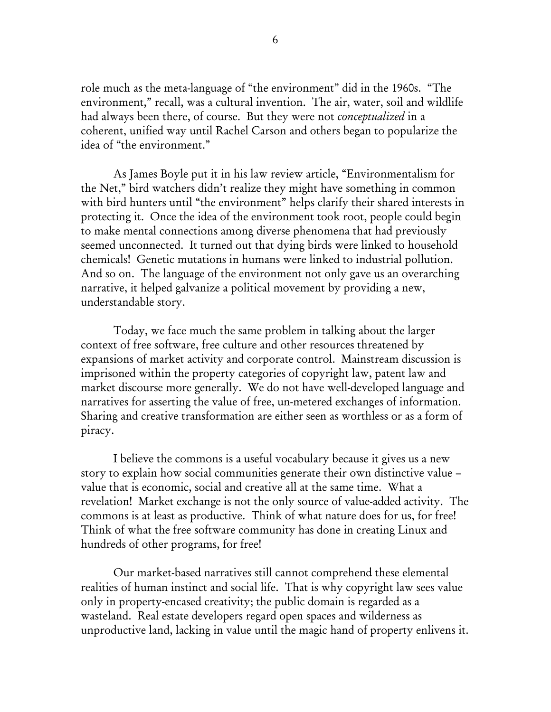role much as the meta-language of "the environment" did in the 1960s. "The environment," recall, was a cultural invention. The air, water, soil and wildlife had always been there, of course. But they were not *conceptualized* in a coherent, unified way until Rachel Carson and others began to popularize the idea of "the environment."

 As James Boyle put it in his law review article, "Environmentalism for the Net," bird watchers didn't realize they might have something in common with bird hunters until "the environment" helps clarify their shared interests in protecting it. Once the idea of the environment took root, people could begin to make mental connections among diverse phenomena that had previously seemed unconnected. It turned out that dying birds were linked to household chemicals! Genetic mutations in humans were linked to industrial pollution. And so on. The language of the environment not only gave us an overarching narrative, it helped galvanize a political movement by providing a new, understandable story.

 Today, we face much the same problem in talking about the larger context of free software, free culture and other resources threatened by expansions of market activity and corporate control. Mainstream discussion is imprisoned within the property categories of copyright law, patent law and market discourse more generally. We do not have well-developed language and narratives for asserting the value of free, un-metered exchanges of information. Sharing and creative transformation are either seen as worthless or as a form of piracy.

 I believe the commons is a useful vocabulary because it gives us a new story to explain how social communities generate their own distinctive value – value that is economic, social and creative all at the same time. What a revelation! Market exchange is not the only source of value-added activity. The commons is at least as productive. Think of what nature does for us, for free! Think of what the free software community has done in creating Linux and hundreds of other programs, for free!

 Our market-based narratives still cannot comprehend these elemental realities of human instinct and social life. That is why copyright law sees value only in property-encased creativity; the public domain is regarded as a wasteland. Real estate developers regard open spaces and wilderness as unproductive land, lacking in value until the magic hand of property enlivens it.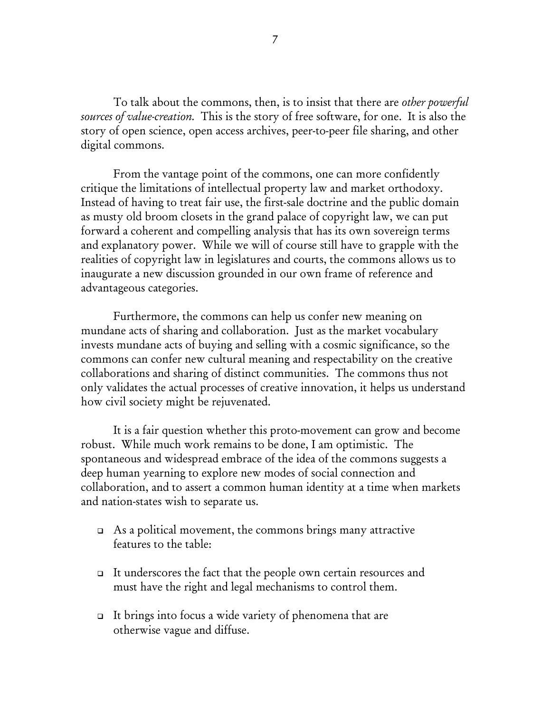To talk about the commons, then, is to insist that there are *other powerful sources of value-creation.* This is the story of free software, for one. It is also the story of open science, open access archives, peer-to-peer file sharing, and other digital commons.

 From the vantage point of the commons, one can more confidently critique the limitations of intellectual property law and market orthodoxy. Instead of having to treat fair use, the first-sale doctrine and the public domain as musty old broom closets in the grand palace of copyright law, we can put forward a coherent and compelling analysis that has its own sovereign terms and explanatory power. While we will of course still have to grapple with the realities of copyright law in legislatures and courts, the commons allows us to inaugurate a new discussion grounded in our own frame of reference and advantageous categories.

 Furthermore, the commons can help us confer new meaning on mundane acts of sharing and collaboration. Just as the market vocabulary invests mundane acts of buying and selling with a cosmic significance, so the commons can confer new cultural meaning and respectability on the creative collaborations and sharing of distinct communities. The commons thus not only validates the actual processes of creative innovation, it helps us understand how civil society might be rejuvenated.

 It is a fair question whether this proto-movement can grow and become robust. While much work remains to be done, I am optimistic. The spontaneous and widespread embrace of the idea of the commons suggests a deep human yearning to explore new modes of social connection and collaboration, and to assert a common human identity at a time when markets and nation-states wish to separate us.

- $\Box$  As a political movement, the commons brings many attractive features to the table:
- $\Box$  It underscores the fact that the people own certain resources and must have the right and legal mechanisms to control them.
- It brings into focus a wide variety of phenomena that are otherwise vague and diffuse.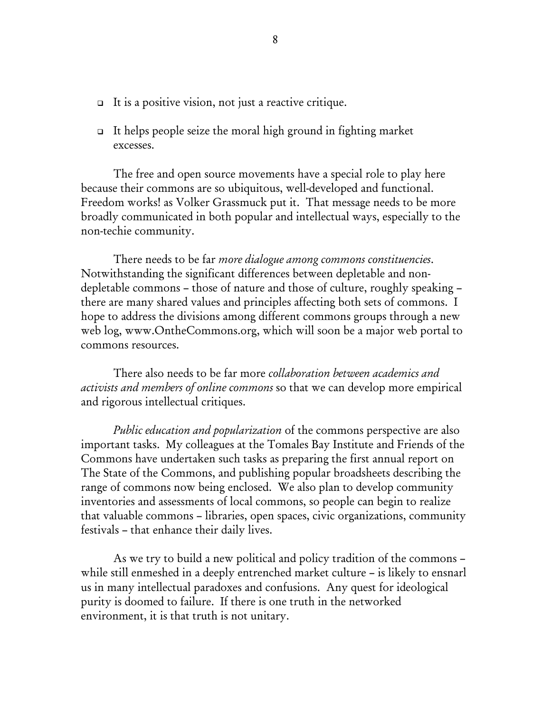- It is a positive vision, not just a reactive critique.
- $\Box$  It helps people seize the moral high ground in fighting market excesses.

The free and open source movements have a special role to play here because their commons are so ubiquitous, well-developed and functional. Freedom works! as Volker Grassmuck put it. That message needs to be more broadly communicated in both popular and intellectual ways, especially to the non-techie community.

 There needs to be far *more dialogue among commons constituencies*. Notwithstanding the significant differences between depletable and nondepletable commons – those of nature and those of culture, roughly speaking – there are many shared values and principles affecting both sets of commons. I hope to address the divisions among different commons groups through a new web log, www.OntheCommons.org, which will soon be a major web portal to commons resources.

 There also needs to be far more *collaboration between academics and activists and members of online commons* so that we can develop more empirical and rigorous intellectual critiques.

*Public education and popularization* of the commons perspective are also important tasks. My colleagues at the Tomales Bay Institute and Friends of the Commons have undertaken such tasks as preparing the first annual report on The State of the Commons, and publishing popular broadsheets describing the range of commons now being enclosed. We also plan to develop community inventories and assessments of local commons, so people can begin to realize that valuable commons – libraries, open spaces, civic organizations, community festivals – that enhance their daily lives.

 As we try to build a new political and policy tradition of the commons – while still enmeshed in a deeply entrenched market culture – is likely to ensnarl us in many intellectual paradoxes and confusions. Any quest for ideological purity is doomed to failure. If there is one truth in the networked environment, it is that truth is not unitary.